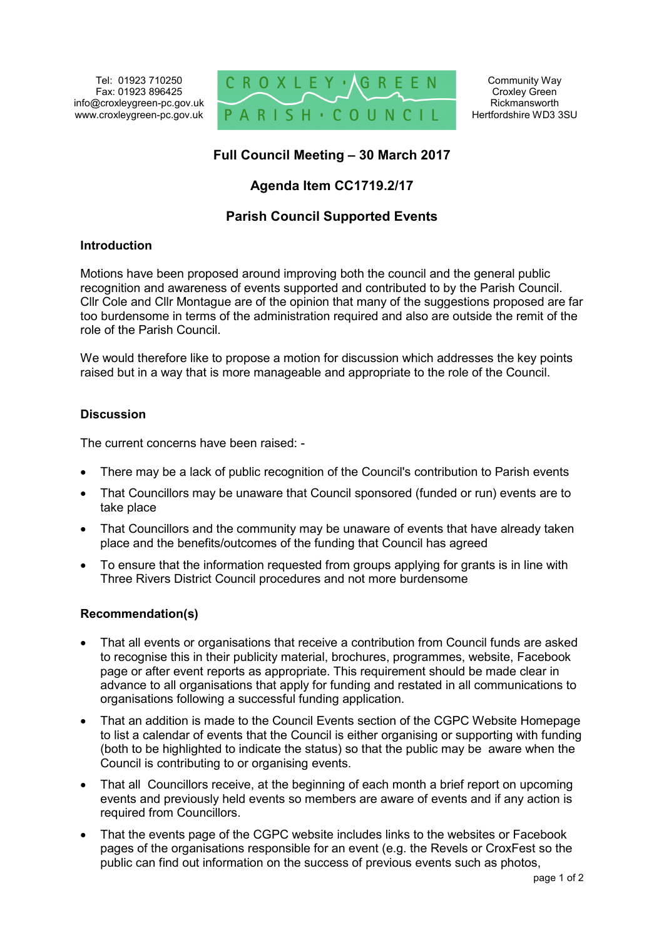Tel: 01923 710250 Fax: 01923 896425 info@croxleygreen-pc.gov.uk www.croxleygreen-pc.gov.uk



# **Full Council Meeting – 30 March 2017**

## **Agenda Item CC1719.2/17**

### **Parish Council Supported Events**

#### **Introduction**

Motions have been proposed around improving both the council and the general public recognition and awareness of events supported and contributed to by the Parish Council. Cllr Cole and Cllr Montague are of the opinion that many of the suggestions proposed are far too burdensome in terms of the administration required and also are outside the remit of the role of the Parish Council.

We would therefore like to propose a motion for discussion which addresses the key points raised but in a way that is more manageable and appropriate to the role of the Council.

#### **Discussion**

The current concerns have been raised: -

- There may be a lack of public recognition of the Council's contribution to Parish events
- That Councillors may be unaware that Council sponsored (funded or run) events are to take place
- That Councillors and the community may be unaware of events that have already taken place and the benefits/outcomes of the funding that Council has agreed
- To ensure that the information requested from groups applying for grants is in line with Three Rivers District Council procedures and not more burdensome

#### **Recommendation(s)**

- That all events or organisations that receive a contribution from Council funds are asked to recognise this in their publicity material, brochures, programmes, website, Facebook page or after event reports as appropriate. This requirement should be made clear in advance to all organisations that apply for funding and restated in all communications to organisations following a successful funding application.
- That an addition is made to the Council Events section of the CGPC Website Homepage to list a calendar of events that the Council is either organising or supporting with funding (both to be highlighted to indicate the status) so that the public may be aware when the Council is contributing to or organising events.
- That all Councillors receive, at the beginning of each month a brief report on upcoming events and previously held events so members are aware of events and if any action is required from Councillors.
- That the events page of the CGPC website includes links to the websites or Facebook pages of the organisations responsible for an event (e.g. the Revels or CroxFest so the public can find out information on the success of previous events such as photos,